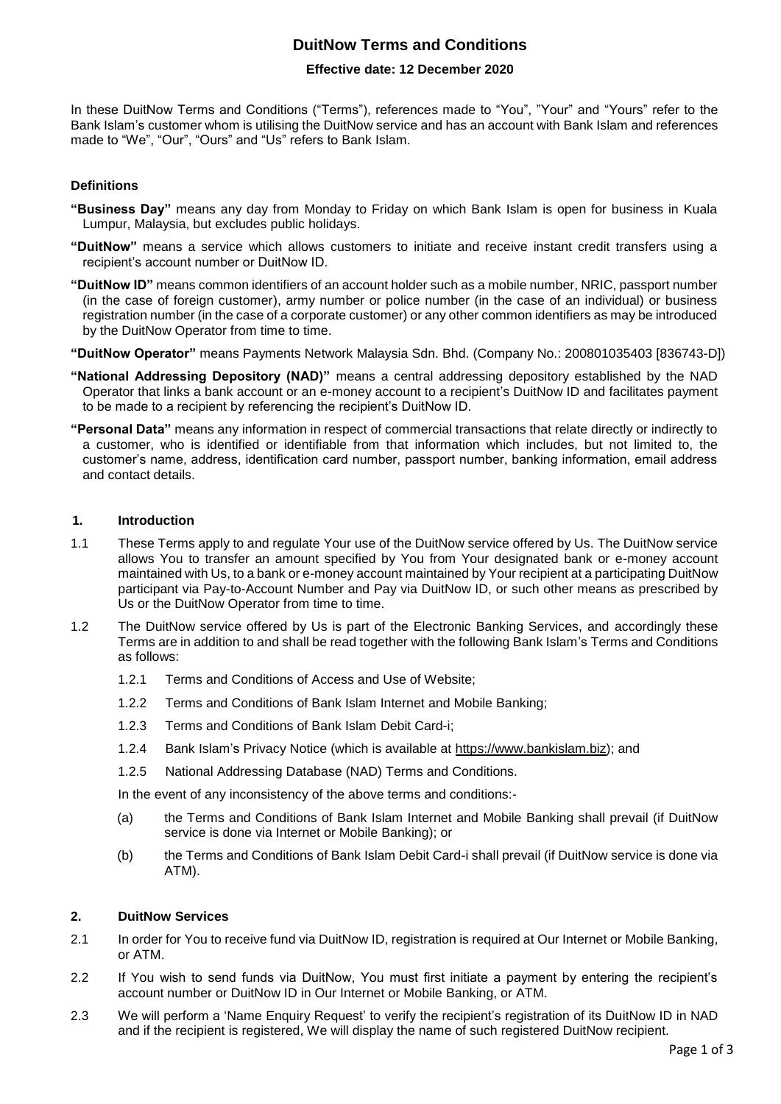### **DuitNow Terms and Conditions**

#### **Effective date: 12 December 2020**

In these DuitNow Terms and Conditions ("Terms"), references made to "You", "Your" and "Yours" refer to the Bank Islam's customer whom is utilising the DuitNow service and has an account with Bank Islam and references made to "We", "Our", "Ours" and "Us" refers to Bank Islam.

#### **Definitions**

- **"Business Day"** means any day from Monday to Friday on which Bank Islam is open for business in Kuala Lumpur, Malaysia, but excludes public holidays.
- **"DuitNow"** means a service which allows customers to initiate and receive instant credit transfers using a recipient's account number or DuitNow ID.
- **"DuitNow ID"** means common identifiers of an account holder such as a mobile number, NRIC, passport number (in the case of foreign customer), army number or police number (in the case of an individual) or business registration number (in the case of a corporate customer) or any other common identifiers as may be introduced by the DuitNow Operator from time to time.
- **"DuitNow Operator"** means Payments Network Malaysia Sdn. Bhd. (Company No.: 200801035403 [836743-D])
- **"National Addressing Depository (NAD)"** means a central addressing depository established by the NAD Operator that links a bank account or an e-money account to a recipient's DuitNow ID and facilitates payment to be made to a recipient by referencing the recipient's DuitNow ID.
- **"Personal Data"** means any information in respect of commercial transactions that relate directly or indirectly to a customer, who is identified or identifiable from that information which includes, but not limited to, the customer's name, address, identification card number, passport number, banking information, email address and contact details.

#### **1. Introduction**

- 1.1 These Terms apply to and regulate Your use of the DuitNow service offered by Us. The DuitNow service allows You to transfer an amount specified by You from Your designated bank or e-money account maintained with Us, to a bank or e-money account maintained by Your recipient at a participating DuitNow participant via Pay-to-Account Number and Pay via DuitNow ID, or such other means as prescribed by Us or the DuitNow Operator from time to time.
- 1.2 The DuitNow service offered by Us is part of the Electronic Banking Services, and accordingly these Terms are in addition to and shall be read together with the following Bank Islam's Terms and Conditions as follows:
	- 1.2.1 Terms and Conditions of Access and Use of Website;
	- 1.2.2 Terms and Conditions of Bank Islam Internet and Mobile Banking;
	- 1.2.3 Terms and Conditions of Bank Islam Debit Card-i;
	- 1.2.4 Bank Islam's Privacy Notice (which is available at [https://www.bankislam.biz\)](https://www.bankislam.biz/); and
	- 1.2.5 National Addressing Database (NAD) Terms and Conditions.

In the event of any inconsistency of the above terms and conditions:-

- (a) the Terms and Conditions of Bank Islam Internet and Mobile Banking shall prevail (if DuitNow service is done via Internet or Mobile Banking); or
- (b) the Terms and Conditions of Bank Islam Debit Card-i shall prevail (if DuitNow service is done via ATM).

#### **2. DuitNow Services**

- 2.1 In order for You to receive fund via DuitNow ID, registration is required at Our Internet or Mobile Banking, or ATM.
- 2.2 If You wish to send funds via DuitNow, You must first initiate a payment by entering the recipient's account number or DuitNow ID in Our Internet or Mobile Banking, or ATM.
- 2.3 We will perform a 'Name Enquiry Request' to verify the recipient's registration of its DuitNow ID in NAD and if the recipient is registered, We will display the name of such registered DuitNow recipient.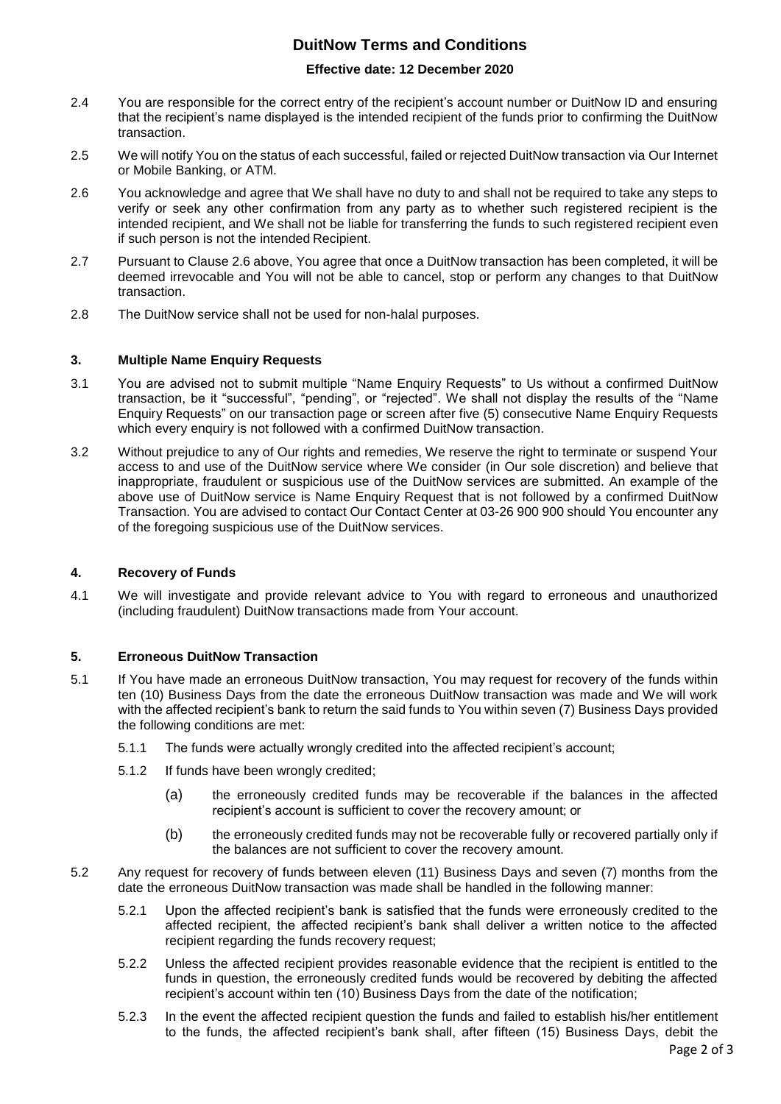# **DuitNow Terms and Conditions**

#### **Effective date: 12 December 2020**

- 2.4 You are responsible for the correct entry of the recipient's account number or DuitNow ID and ensuring that the recipient's name displayed is the intended recipient of the funds prior to confirming the DuitNow transaction.
- 2.5 We will notify You on the status of each successful, failed or rejected DuitNow transaction via Our Internet or Mobile Banking, or ATM.
- 2.6 You acknowledge and agree that We shall have no duty to and shall not be required to take any steps to verify or seek any other confirmation from any party as to whether such registered recipient is the intended recipient, and We shall not be liable for transferring the funds to such registered recipient even if such person is not the intended Recipient.
- 2.7 Pursuant to Clause 2.6 above, You agree that once a DuitNow transaction has been completed, it will be deemed irrevocable and You will not be able to cancel, stop or perform any changes to that DuitNow transaction.
- 2.8 The DuitNow service shall not be used for non-halal purposes.

#### **3. Multiple Name Enquiry Requests**

- 3.1 You are advised not to submit multiple "Name Enquiry Requests" to Us without a confirmed DuitNow transaction, be it "successful", "pending", or "rejected". We shall not display the results of the "Name Enquiry Requests" on our transaction page or screen after five (5) consecutive Name Enquiry Requests which every enquiry is not followed with a confirmed DuitNow transaction.
- 3.2 Without prejudice to any of Our rights and remedies, We reserve the right to terminate or suspend Your access to and use of the DuitNow service where We consider (in Our sole discretion) and believe that inappropriate, fraudulent or suspicious use of the DuitNow services are submitted. An example of the above use of DuitNow service is Name Enquiry Request that is not followed by a confirmed DuitNow Transaction. You are advised to contact Our Contact Center at 03-26 900 900 should You encounter any of the foregoing suspicious use of the DuitNow services.

#### **4. Recovery of Funds**

4.1 We will investigate and provide relevant advice to You with regard to erroneous and unauthorized (including fraudulent) DuitNow transactions made from Your account.

### **5. Erroneous DuitNow Transaction**

- 5.1 If You have made an erroneous DuitNow transaction, You may request for recovery of the funds within ten (10) Business Days from the date the erroneous DuitNow transaction was made and We will work with the affected recipient's bank to return the said funds to You within seven (7) Business Days provided the following conditions are met:
	- 5.1.1 The funds were actually wrongly credited into the affected recipient's account;
	- 5.1.2 If funds have been wrongly credited;
		- (a) the erroneously credited funds may be recoverable if the balances in the affected recipient's account is sufficient to cover the recovery amount; or
		- (b) the erroneously credited funds may not be recoverable fully or recovered partially only if the balances are not sufficient to cover the recovery amount.
- 5.2 Any request for recovery of funds between eleven (11) Business Days and seven (7) months from the date the erroneous DuitNow transaction was made shall be handled in the following manner:
	- 5.2.1 Upon the affected recipient's bank is satisfied that the funds were erroneously credited to the affected recipient, the affected recipient's bank shall deliver a written notice to the affected recipient regarding the funds recovery request;
	- 5.2.2 Unless the affected recipient provides reasonable evidence that the recipient is entitled to the funds in question, the erroneously credited funds would be recovered by debiting the affected recipient's account within ten (10) Business Days from the date of the notification;
	- 5.2.3 In the event the affected recipient question the funds and failed to establish his/her entitlement to the funds, the affected recipient's bank shall, after fifteen (15) Business Days, debit the